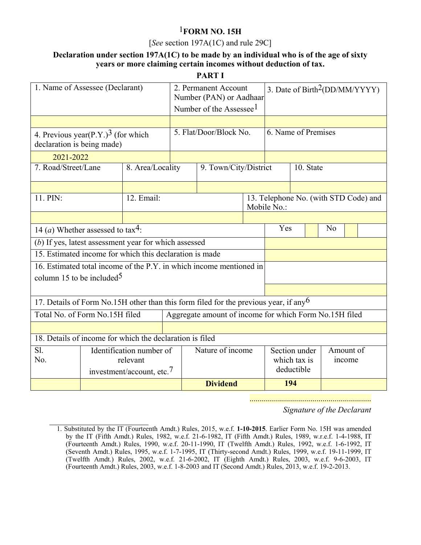# 1**FORM NO. 15H**

#### [*See* section 197A(1C) and rule 29C]

### **Declaration under section 197A(1C) to be made by an individual who is of the age of sixty years or more claiming certain incomes without deduction of tax.**

**PART I** 

| 1. Name of Assessee (Declarant)                                                         |  |                          |                                       | 2. Permanent Account<br>Number (PAN) or Aadhaar<br>Number of the Assessee <sup>1</sup> |                  |               |                                                      | 3. Date of Birth <sup>2</sup> (DD/MM/YYYY) |  |  |  |  |  |
|-----------------------------------------------------------------------------------------|--|--------------------------|---------------------------------------|----------------------------------------------------------------------------------------|------------------|---------------|------------------------------------------------------|--------------------------------------------|--|--|--|--|--|
|                                                                                         |  |                          |                                       |                                                                                        |                  |               |                                                      |                                            |  |  |  |  |  |
| 4. Previous year(P.Y.) <sup>3</sup> (for which<br>declaration is being made)            |  |                          |                                       | 5. Flat/Door/Block No.                                                                 |                  |               | 6. Name of Premises                                  |                                            |  |  |  |  |  |
| 2021-2022                                                                               |  |                          |                                       |                                                                                        |                  |               |                                                      |                                            |  |  |  |  |  |
| 7. Road/Street/Lane                                                                     |  | 8. Area/Locality         | 9. Town/City/District                 |                                                                                        |                  |               |                                                      | 10. State                                  |  |  |  |  |  |
|                                                                                         |  |                          |                                       |                                                                                        |                  |               |                                                      |                                            |  |  |  |  |  |
| 11. PIN:                                                                                |  | 12. Email:               |                                       |                                                                                        |                  |               | 13. Telephone No. (with STD Code) and<br>Mobile No.: |                                            |  |  |  |  |  |
|                                                                                         |  |                          |                                       |                                                                                        |                  |               |                                                      |                                            |  |  |  |  |  |
| 14 ( <i>a</i> ) Whether assessed to tax <sup>4</sup> :                                  |  |                          |                                       |                                                                                        |                  |               | Yes<br>No                                            |                                            |  |  |  |  |  |
| (b) If yes, latest assessment year for which assessed                                   |  |                          |                                       |                                                                                        |                  |               |                                                      |                                            |  |  |  |  |  |
| 15. Estimated income for which this declaration is made                                 |  |                          |                                       |                                                                                        |                  |               |                                                      |                                            |  |  |  |  |  |
| 16. Estimated total income of the P.Y. in which income mentioned in                     |  |                          |                                       |                                                                                        |                  |               |                                                      |                                            |  |  |  |  |  |
| column 15 to be included <sup>5</sup>                                                   |  |                          |                                       |                                                                                        |                  |               |                                                      |                                            |  |  |  |  |  |
|                                                                                         |  |                          |                                       |                                                                                        |                  |               |                                                      |                                            |  |  |  |  |  |
| 17. Details of Form No.15H other than this form filed for the previous year, if any $6$ |  |                          |                                       |                                                                                        |                  |               |                                                      |                                            |  |  |  |  |  |
| Total No. of Form No.15H filed                                                          |  |                          |                                       | Aggregate amount of income for which Form No.15H filed                                 |                  |               |                                                      |                                            |  |  |  |  |  |
|                                                                                         |  |                          |                                       |                                                                                        |                  |               |                                                      |                                            |  |  |  |  |  |
| 18. Details of income for which the declaration is filed                                |  |                          |                                       |                                                                                        |                  |               |                                                      |                                            |  |  |  |  |  |
| S1.                                                                                     |  | Identification number of |                                       |                                                                                        | Nature of income | Section under |                                                      | Amount of                                  |  |  |  |  |  |
| No.                                                                                     |  | relevant                 |                                       |                                                                                        |                  |               |                                                      | which tax is<br>income<br>deductible       |  |  |  |  |  |
|                                                                                         |  |                          | investment/account, etc. <sup>7</sup> |                                                                                        |                  |               |                                                      |                                            |  |  |  |  |  |
|                                                                                         |  |                          |                                       |                                                                                        | <b>Dividend</b>  |               |                                                      | 194                                        |  |  |  |  |  |

............................................................

*Signature of the Declarant* 

<sup>1.</sup> Substituted by the IT (Fourteenth Amdt.) Rules, 2015, w.e.f. **1-10-2015**. Earlier Form No. 15H was amended by the IT (Fifth Amdt.) Rules, 1982, w.e.f. 21-6-1982, IT (Fifth Amdt.) Rules, 1989, w.r.e.f. 1-4-1988, IT (Fourteenth Amdt.) Rules, 1990, w.e.f. 20-11-1990, IT (Twelfth Amdt.) Rules, 1992, w.e.f. 1-6-1992, IT (Seventh Amdt.) Rules, 1995, w.e.f. 1-7-1995, IT (Thirty-second Amdt.) Rules, 1999, w.e.f. 19-11-1999, IT (Twelfth Amdt.) Rules, 2002, w.e.f. 21-6-2002, IT (Eighth Amdt.) Rules, 2003, w.e.f. 9-6-2003, IT (Fourteenth Amdt.) Rules, 2003, w.e.f. 1-8-2003 and IT (Second Amdt.) Rules, 2013, w.e.f. 19-2-2013.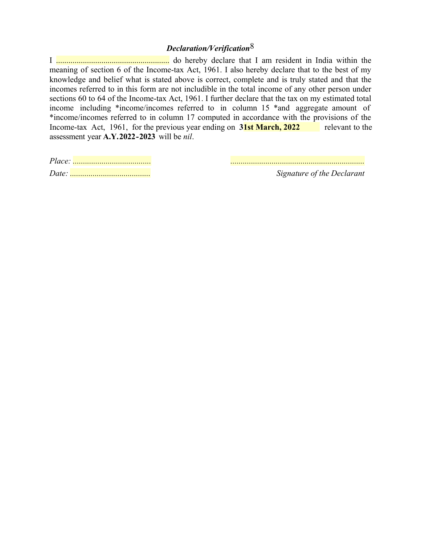## *Declaration/Verification*8

I ....................................................... do hereby declare that I am resident in India within the meaning of section 6 of the Income-tax Act, 1961. I also hereby declare that to the best of my knowledge and belief what is stated above is correct, complete and is truly stated and that the incomes referred to in this form are not includible in the total income of any other person under sections 60 to 64 of the Income-tax Act, 1961. I further declare that the tax on my estimated total income including \*income/incomes referred to in column 15 \*and aggregate amount of \*income/incomes referred to in column 17 computed in accordance with the provisions of the Income-tax Act, 1961, for the previous year ending on 31st March, 2022 relevant to the assessment year **A.Y.2022-2023** will be *nil*.

*Date: ....................................... Signature of the Declarant* 

*Place: ...................................... .................................................................*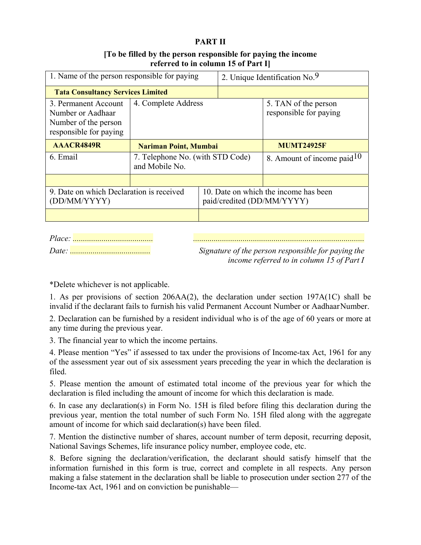### **PART II**

### **[To be filled by the person responsible for paying the income referred to in column 15 of Part I]**

| 1. Name of the person responsible for paying                                                |                                                    | 2. Unique Identification No.9                                       |                                                |  |  |  |  |
|---------------------------------------------------------------------------------------------|----------------------------------------------------|---------------------------------------------------------------------|------------------------------------------------|--|--|--|--|
| <b>Tata Consultancy Services Limited</b>                                                    |                                                    |                                                                     |                                                |  |  |  |  |
| 3. Permanent Account<br>Number or Aadhaar<br>Number of the person<br>responsible for paying | 4. Complete Address                                |                                                                     | 5. TAN of the person<br>responsible for paying |  |  |  |  |
| AAACR4849R                                                                                  | <b>Nariman Point, Mumbai</b>                       |                                                                     | <b>MUMT24925F</b>                              |  |  |  |  |
| 6. Email                                                                                    | 7. Telephone No. (with STD Code)<br>and Mobile No. |                                                                     | 8. Amount of income paid $10$                  |  |  |  |  |
|                                                                                             |                                                    |                                                                     |                                                |  |  |  |  |
| 9. Date on which Declaration is received<br>(DD/MM/YYYY)                                    |                                                    | 10. Date on which the income has been<br>paid/credited (DD/MM/YYYY) |                                                |  |  |  |  |
|                                                                                             |                                                    |                                                                     |                                                |  |  |  |  |

*Place: ....................................... ...................................................................................* 

*Date: ....................................... Signature of the person responsible for paying the income referred to in column 15 of Part I* 

\*Delete whichever is not applicable.

1. As per provisions of section 206AA(2), the declaration under section 197A(1C) shall be invalid if the declarant fails to furnish his valid Permanent Account Number or Aadhaar Number.

2. Declaration can be furnished by a resident individual who is of the age of 60 years or more at any time during the previous year.

3. The financial year to which the income pertains.

4. Please mention "Yes" if assessed to tax under the provisions of Income-tax Act, 1961 for any of the assessment year out of six assessment years preceding the year in which the declaration is filed.

5. Please mention the amount of estimated total income of the previous year for which the declaration is filed including the amount of income for which this declaration is made.

6. In case any declaration(s) in Form No. 15H is filed before filing this declaration during the previous year, mention the total number of such Form No. 15H filed along with the aggregate amount of income for which said declaration(s) have been filed.

7. Mention the distinctive number of shares, account number of term deposit, recurring deposit, National Savings Schemes, life insurance policy number, employee code, etc.

8. Before signing the declaration/verification, the declarant should satisfy himself that the information furnished in this form is true, correct and complete in all respects. Any person making a false statement in the declaration shall be liable to prosecution under section 277 of the Income-tax Act, 1961 and on conviction be punishable—